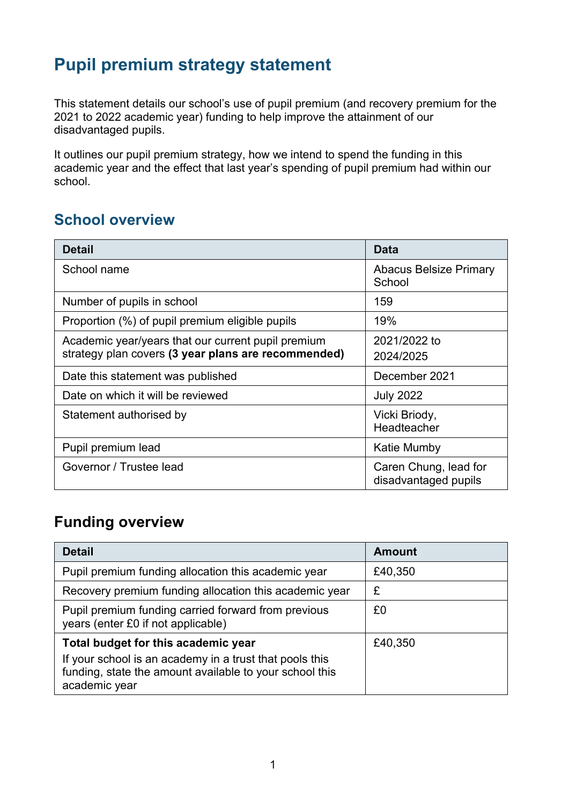## **Pupil premium strategy statement**

This statement details our school's use of pupil premium (and recovery premium for the 2021 to 2022 academic year) funding to help improve the attainment of our disadvantaged pupils.

It outlines our pupil premium strategy, how we intend to spend the funding in this academic year and the effect that last year's spending of pupil premium had within our school.

#### **School overview**

| <b>Detail</b>                                       | <b>Data</b>                                   |
|-----------------------------------------------------|-----------------------------------------------|
| School name                                         | <b>Abacus Belsize Primary</b><br>School       |
| Number of pupils in school                          | 159                                           |
| Proportion (%) of pupil premium eligible pupils     | 19%                                           |
| Academic year/years that our current pupil premium  | 2021/2022 to                                  |
| strategy plan covers (3 year plans are recommended) | 2024/2025                                     |
| Date this statement was published                   | December 2021                                 |
| Date on which it will be reviewed                   | <b>July 2022</b>                              |
| Statement authorised by                             | Vicki Briody,<br>Headteacher                  |
| Pupil premium lead                                  | Katie Mumby                                   |
| Governor / Trustee lead                             | Caren Chung, lead for<br>disadvantaged pupils |

### **Funding overview**

| <b>Detail</b>                                                                                                                                                              | Amount  |
|----------------------------------------------------------------------------------------------------------------------------------------------------------------------------|---------|
| Pupil premium funding allocation this academic year                                                                                                                        | £40,350 |
| Recovery premium funding allocation this academic year                                                                                                                     | £       |
| Pupil premium funding carried forward from previous<br>years (enter £0 if not applicable)                                                                                  | £0      |
| Total budget for this academic year<br>If your school is an academy in a trust that pools this<br>funding, state the amount available to your school this<br>academic year | £40,350 |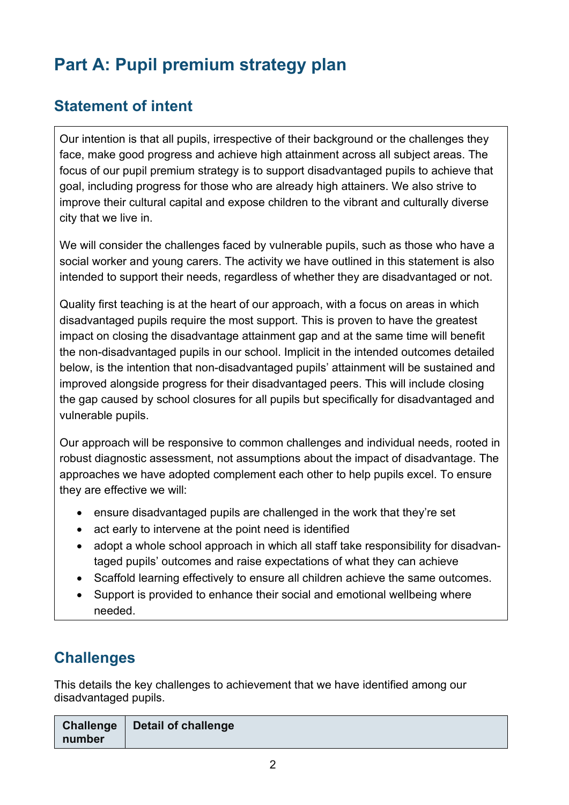# **Part A: Pupil premium strategy plan**

### **Statement of intent**

Our intention is that all pupils, irrespective of their background or the challenges they face, make good progress and achieve high attainment across all subject areas. The focus of our pupil premium strategy is to support disadvantaged pupils to achieve that goal, including progress for those who are already high attainers. We also strive to improve their cultural capital and expose children to the vibrant and culturally diverse city that we live in.

We will consider the challenges faced by vulnerable pupils, such as those who have a social worker and young carers. The activity we have outlined in this statement is also intended to support their needs, regardless of whether they are disadvantaged or not.

Quality first teaching is at the heart of our approach, with a focus on areas in which disadvantaged pupils require the most support. This is proven to have the greatest impact on closing the disadvantage attainment gap and at the same time will benefit the non-disadvantaged pupils in our school. Implicit in the intended outcomes detailed below, is the intention that non-disadvantaged pupils' attainment will be sustained and improved alongside progress for their disadvantaged peers. This will include closing the gap caused by school closures for all pupils but specifically for disadvantaged and vulnerable pupils.

Our approach will be responsive to common challenges and individual needs, rooted in robust diagnostic assessment, not assumptions about the impact of disadvantage. The approaches we have adopted complement each other to help pupils excel. To ensure they are effective we will:

- ensure disadvantaged pupils are challenged in the work that they're set
- act early to intervene at the point need is identified
- adopt a whole school approach in which all staff take responsibility for disadvantaged pupils' outcomes and raise expectations of what they can achieve
- Scaffold learning effectively to ensure all children achieve the same outcomes.
- Support is provided to enhance their social and emotional wellbeing where needed.

## **Challenges**

This details the key challenges to achievement that we have identified among our disadvantaged pupils.

|        | Challenge   Detail of challenge |
|--------|---------------------------------|
| number |                                 |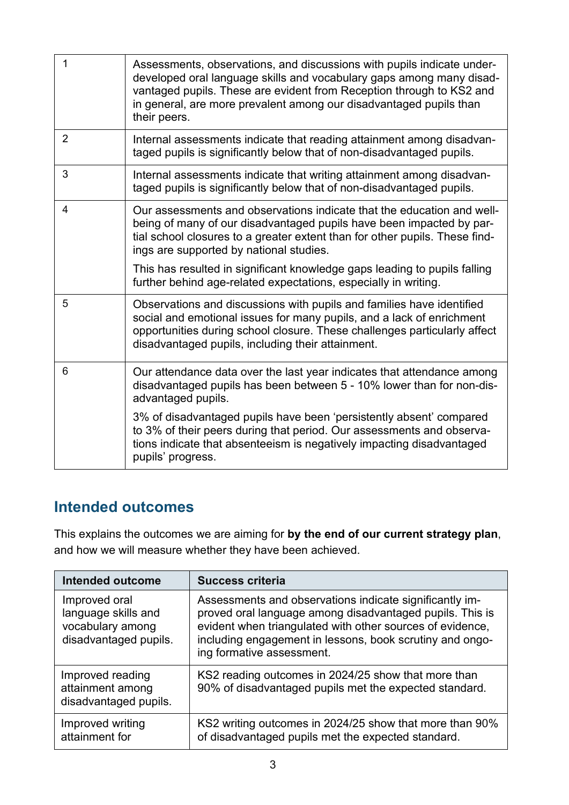| 1              | Assessments, observations, and discussions with pupils indicate under-<br>developed oral language skills and vocabulary gaps among many disad-<br>vantaged pupils. These are evident from Reception through to KS2 and<br>in general, are more prevalent among our disadvantaged pupils than<br>their peers. |
|----------------|--------------------------------------------------------------------------------------------------------------------------------------------------------------------------------------------------------------------------------------------------------------------------------------------------------------|
| $\overline{2}$ | Internal assessments indicate that reading attainment among disadvan-<br>taged pupils is significantly below that of non-disadvantaged pupils.                                                                                                                                                               |
| 3              | Internal assessments indicate that writing attainment among disadvan-<br>taged pupils is significantly below that of non-disadvantaged pupils.                                                                                                                                                               |
| 4              | Our assessments and observations indicate that the education and well-<br>being of many of our disadvantaged pupils have been impacted by par-<br>tial school closures to a greater extent than for other pupils. These find-<br>ings are supported by national studies.                                     |
|                | This has resulted in significant knowledge gaps leading to pupils falling<br>further behind age-related expectations, especially in writing.                                                                                                                                                                 |
| 5              | Observations and discussions with pupils and families have identified<br>social and emotional issues for many pupils, and a lack of enrichment<br>opportunities during school closure. These challenges particularly affect<br>disadvantaged pupils, including their attainment.                             |
| 6              | Our attendance data over the last year indicates that attendance among<br>disadvantaged pupils has been between 5 - 10% lower than for non-dis-<br>advantaged pupils.                                                                                                                                        |
|                | 3% of disadvantaged pupils have been 'persistently absent' compared<br>to 3% of their peers during that period. Our assessments and observa-<br>tions indicate that absenteeism is negatively impacting disadvantaged<br>pupils' progress.                                                                   |

#### **Intended outcomes**

This explains the outcomes we are aiming for **by the end of our current strategy plan**, and how we will measure whether they have been achieved.

| <b>Intended outcome</b>                                                           | <b>Success criteria</b>                                                                                                                                                                                                                                                   |
|-----------------------------------------------------------------------------------|---------------------------------------------------------------------------------------------------------------------------------------------------------------------------------------------------------------------------------------------------------------------------|
| Improved oral<br>language skills and<br>vocabulary among<br>disadvantaged pupils. | Assessments and observations indicate significantly im-<br>proved oral language among disadvantaged pupils. This is<br>evident when triangulated with other sources of evidence,<br>including engagement in lessons, book scrutiny and ongo-<br>ing formative assessment. |
| Improved reading<br>attainment among<br>disadvantaged pupils.                     | KS2 reading outcomes in 2024/25 show that more than<br>90% of disadvantaged pupils met the expected standard.                                                                                                                                                             |
| Improved writing<br>attainment for                                                | KS2 writing outcomes in 2024/25 show that more than 90%<br>of disadvantaged pupils met the expected standard.                                                                                                                                                             |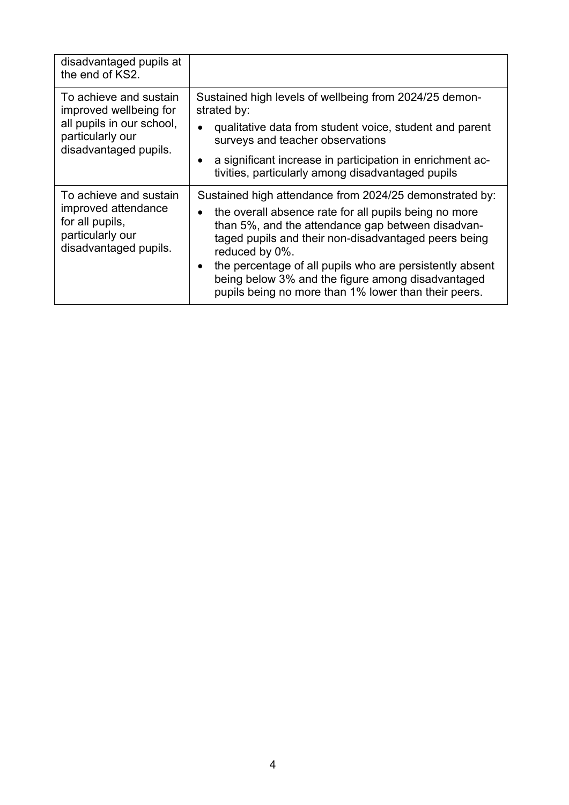| disadvantaged pupils at<br>the end of KS2.                                                                                 |                                                                                                                                                                                                                                                                                                                                                                                                                          |
|----------------------------------------------------------------------------------------------------------------------------|--------------------------------------------------------------------------------------------------------------------------------------------------------------------------------------------------------------------------------------------------------------------------------------------------------------------------------------------------------------------------------------------------------------------------|
| To achieve and sustain<br>improved wellbeing for<br>all pupils in our school,<br>particularly our<br>disadvantaged pupils. | Sustained high levels of wellbeing from 2024/25 demon-<br>strated by:<br>qualitative data from student voice, student and parent<br>surveys and teacher observations<br>a significant increase in participation in enrichment ac-<br>tivities, particularly among disadvantaged pupils                                                                                                                                   |
| To achieve and sustain<br>improved attendance<br>for all pupils,<br>particularly our<br>disadvantaged pupils.              | Sustained high attendance from 2024/25 demonstrated by:<br>the overall absence rate for all pupils being no more<br>than 5%, and the attendance gap between disadvan-<br>taged pupils and their non-disadvantaged peers being<br>reduced by 0%.<br>the percentage of all pupils who are persistently absent<br>being below 3% and the figure among disadvantaged<br>pupils being no more than 1% lower than their peers. |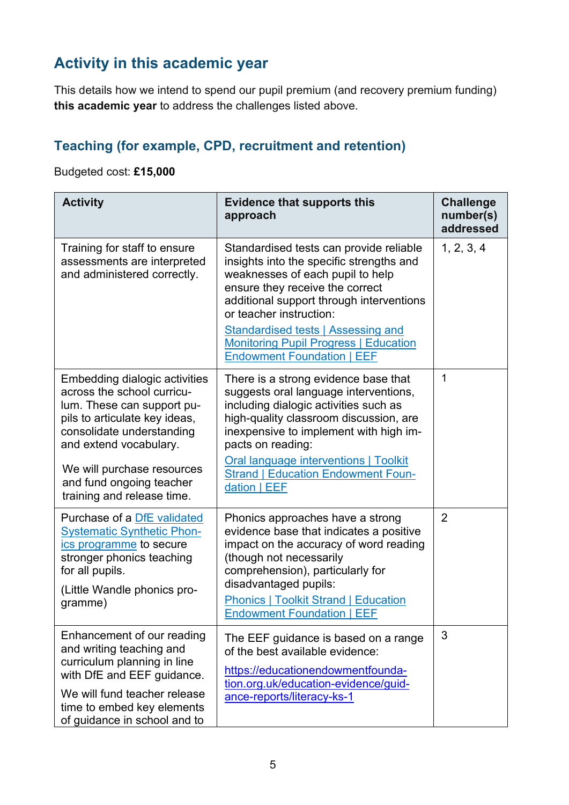## **Activity in this academic year**

This details how we intend to spend our pupil premium (and recovery premium funding) **this academic year** to address the challenges listed above.

#### **Teaching (for example, CPD, recruitment and retention)**

Budgeted cost: **£15,000**

| <b>Activity</b>                                                                                                                                                                                                                                                           | <b>Evidence that supports this</b><br>approach                                                                                                                                                                                                                                                                                                               | <b>Challenge</b><br>number(s)<br>addressed |
|---------------------------------------------------------------------------------------------------------------------------------------------------------------------------------------------------------------------------------------------------------------------------|--------------------------------------------------------------------------------------------------------------------------------------------------------------------------------------------------------------------------------------------------------------------------------------------------------------------------------------------------------------|--------------------------------------------|
| Training for staff to ensure<br>assessments are interpreted<br>and administered correctly.                                                                                                                                                                                | Standardised tests can provide reliable<br>insights into the specific strengths and<br>weaknesses of each pupil to help<br>ensure they receive the correct<br>additional support through interventions<br>or teacher instruction:<br>Standardised tests   Assessing and<br><b>Monitoring Pupil Progress   Education</b><br><b>Endowment Foundation   EEF</b> | 1, 2, 3, 4                                 |
| Embedding dialogic activities<br>across the school curricu-<br>lum. These can support pu-<br>pils to articulate key ideas,<br>consolidate understanding<br>and extend vocabulary.<br>We will purchase resources<br>and fund ongoing teacher<br>training and release time. | There is a strong evidence base that<br>suggests oral language interventions,<br>including dialogic activities such as<br>high-quality classroom discussion, are<br>inexpensive to implement with high im-<br>pacts on reading:<br><b>Oral language interventions   Toolkit</b><br><b>Strand   Education Endowment Foun-</b><br>dation   EEF                 | 1                                          |
| Purchase of a DfE validated<br><b>Systematic Synthetic Phon-</b><br>ics programme to secure<br>stronger phonics teaching<br>for all pupils.<br>(Little Wandle phonics pro-<br>gramme)                                                                                     | Phonics approaches have a strong<br>evidence base that indicates a positive<br>impact on the accuracy of word reading<br>(though not necessarily<br>comprehension), particularly for<br>disadvantaged pupils:<br><b>Phonics   Toolkit Strand   Education</b><br><b>Endowment Foundation   EEF</b>                                                            | $\overline{2}$                             |
| Enhancement of our reading<br>and writing teaching and<br>curriculum planning in line<br>with DfE and EEF guidance.<br>We will fund teacher release<br>time to embed key elements<br>of guidance in school and to                                                         | The EEF guidance is based on a range<br>of the best available evidence:<br>https://educationendowmentfounda-<br>tion.org.uk/education-evidence/guid-<br>ance-reports/literacy-ks-1                                                                                                                                                                           | 3                                          |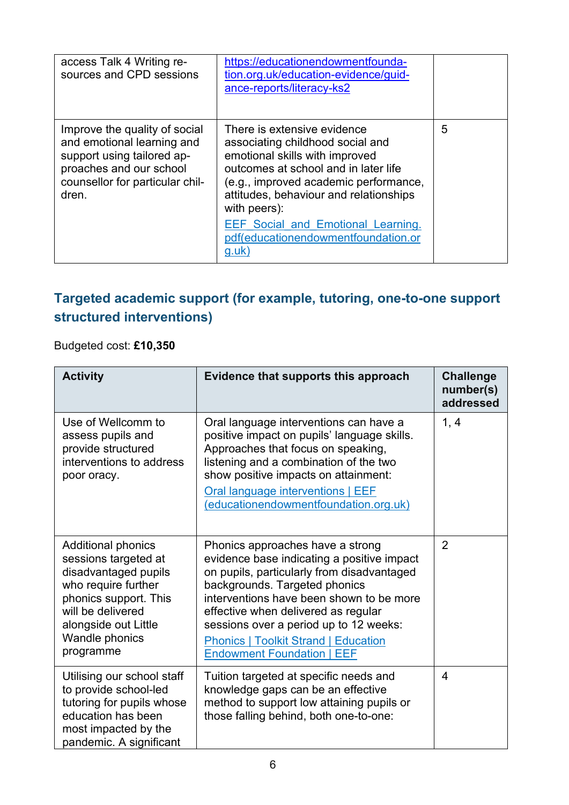| access Talk 4 Writing re-<br>sources and CPD sessions                                                                                                            | https://educationendowmentfounda-<br>tion.org.uk/education-evidence/guid-<br>ance-reports/literacy-ks2                                                                                                                                                                                                                                       |   |
|------------------------------------------------------------------------------------------------------------------------------------------------------------------|----------------------------------------------------------------------------------------------------------------------------------------------------------------------------------------------------------------------------------------------------------------------------------------------------------------------------------------------|---|
| Improve the quality of social<br>and emotional learning and<br>support using tailored ap-<br>proaches and our school<br>counsellor for particular chil-<br>dren. | There is extensive evidence<br>associating childhood social and<br>emotional skills with improved<br>outcomes at school and in later life<br>(e.g., improved academic performance,<br>attitudes, behaviour and relationships<br>with peers):<br><b>EEF Social and Emotional Learning.</b><br>pdf(educationendowmentfoundation.or<br>$g.$ uk) | 5 |

#### **Targeted academic support (for example, tutoring, one-to-one support structured interventions)**

Budgeted cost: **£10,350**

| <b>Activity</b>                                                                                                                                                                                              | Evidence that supports this approach                                                                                                                                                                                                                                                                                                                                           | <b>Challenge</b><br>number(s)<br>addressed |
|--------------------------------------------------------------------------------------------------------------------------------------------------------------------------------------------------------------|--------------------------------------------------------------------------------------------------------------------------------------------------------------------------------------------------------------------------------------------------------------------------------------------------------------------------------------------------------------------------------|--------------------------------------------|
| Use of Wellcomm to<br>assess pupils and<br>provide structured<br>interventions to address<br>poor oracy.                                                                                                     | Oral language interventions can have a<br>positive impact on pupils' language skills.<br>Approaches that focus on speaking,<br>listening and a combination of the two<br>show positive impacts on attainment:<br>Oral language interventions   EEF<br>(educationendowmentfoundation.org.uk)                                                                                    | 1, 4                                       |
| <b>Additional phonics</b><br>sessions targeted at<br>disadvantaged pupils<br>who require further<br>phonics support. This<br>will be delivered<br>alongside out Little<br><b>Wandle phonics</b><br>programme | Phonics approaches have a strong<br>evidence base indicating a positive impact<br>on pupils, particularly from disadvantaged<br>backgrounds. Targeted phonics<br>interventions have been shown to be more<br>effective when delivered as regular<br>sessions over a period up to 12 weeks:<br><b>Phonics   Toolkit Strand   Education</b><br><b>Endowment Foundation   EEF</b> | $\overline{2}$                             |
| Utilising our school staff<br>to provide school-led<br>tutoring for pupils whose<br>education has been<br>most impacted by the<br>pandemic. A significant                                                    | Tuition targeted at specific needs and<br>knowledge gaps can be an effective<br>method to support low attaining pupils or<br>those falling behind, both one-to-one:                                                                                                                                                                                                            | 4                                          |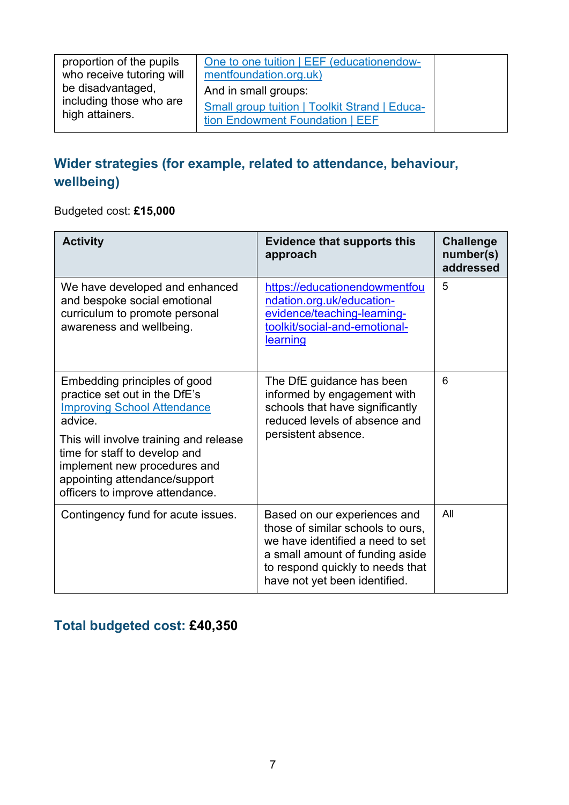### **Wider strategies (for example, related to attendance, behaviour, wellbeing)**

Budgeted cost: **£15,000**

| <b>Activity</b>                                                                                                                                                                                                                                                                               | <b>Evidence that supports this</b><br>approach                                                                                                                                                                | <b>Challenge</b><br>number(s)<br>addressed |
|-----------------------------------------------------------------------------------------------------------------------------------------------------------------------------------------------------------------------------------------------------------------------------------------------|---------------------------------------------------------------------------------------------------------------------------------------------------------------------------------------------------------------|--------------------------------------------|
| We have developed and enhanced<br>and bespoke social emotional<br>curriculum to promote personal<br>awareness and wellbeing.                                                                                                                                                                  | https://educationendowmentfou<br>ndation.org.uk/education-<br>evidence/teaching-learning-<br>toolkit/social-and-emotional-<br><u>learning</u>                                                                 | 5                                          |
| Embedding principles of good<br>practice set out in the DfE's<br><b>Improving School Attendance</b><br>advice.<br>This will involve training and release<br>time for staff to develop and<br>implement new procedures and<br>appointing attendance/support<br>officers to improve attendance. | The DfE guidance has been<br>informed by engagement with<br>schools that have significantly<br>reduced levels of absence and<br>persistent absence.                                                           | 6                                          |
| Contingency fund for acute issues.                                                                                                                                                                                                                                                            | Based on our experiences and<br>those of similar schools to ours,<br>we have identified a need to set<br>a small amount of funding aside<br>to respond quickly to needs that<br>have not yet been identified. | All                                        |

### **Total budgeted cost: £40,350**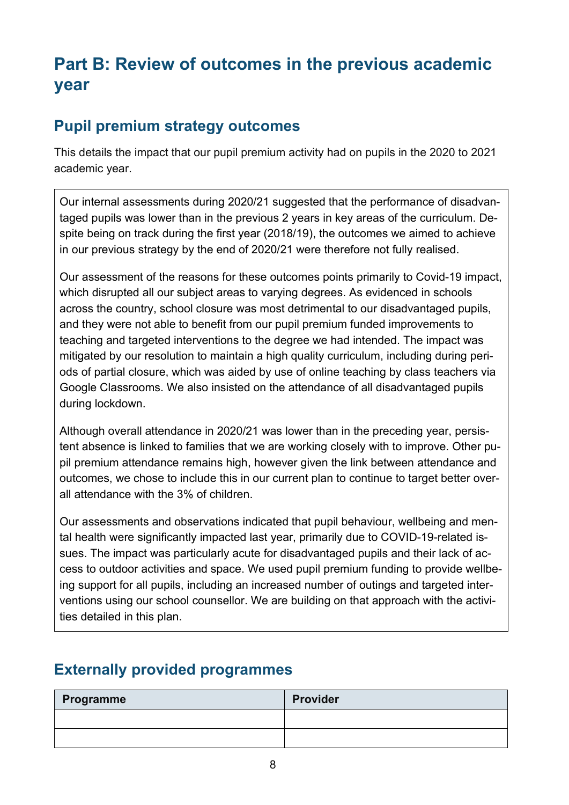# **Part B: Review of outcomes in the previous academic year**

### **Pupil premium strategy outcomes**

This details the impact that our pupil premium activity had on pupils in the 2020 to 2021 academic year.

Our internal assessments during 2020/21 suggested that the performance of disadvantaged pupils was lower than in the previous 2 years in key areas of the curriculum. Despite being on track during the first year (2018/19), the outcomes we aimed to achieve in our previous strategy by the end of 2020/21 were therefore not fully realised.

Our assessment of the reasons for these outcomes points primarily to Covid-19 impact, which disrupted all our subject areas to varying degrees. As evidenced in schools across the country, school closure was most detrimental to our disadvantaged pupils, and they were not able to benefit from our pupil premium funded improvements to teaching and targeted interventions to the degree we had intended. The impact was mitigated by our resolution to maintain a high quality curriculum, including during periods of partial closure, which was aided by use of online teaching by class teachers via Google Classrooms. We also insisted on the attendance of all disadvantaged pupils during lockdown.

Although overall attendance in 2020/21 was lower than in the preceding year, persistent absence is linked to families that we are working closely with to improve. Other pupil premium attendance remains high, however given the link between attendance and outcomes, we chose to include this in our current plan to continue to target better overall attendance with the 3% of children.

Our assessments and observations indicated that pupil behaviour, wellbeing and mental health were significantly impacted last year, primarily due to COVID-19-related issues. The impact was particularly acute for disadvantaged pupils and their lack of access to outdoor activities and space. We used pupil premium funding to provide wellbeing support for all pupils, including an increased number of outings and targeted interventions using our school counsellor. We are building on that approach with the activities detailed in this plan.

#### **Externally provided programmes**

| Programme | Provider |
|-----------|----------|
|           |          |
|           |          |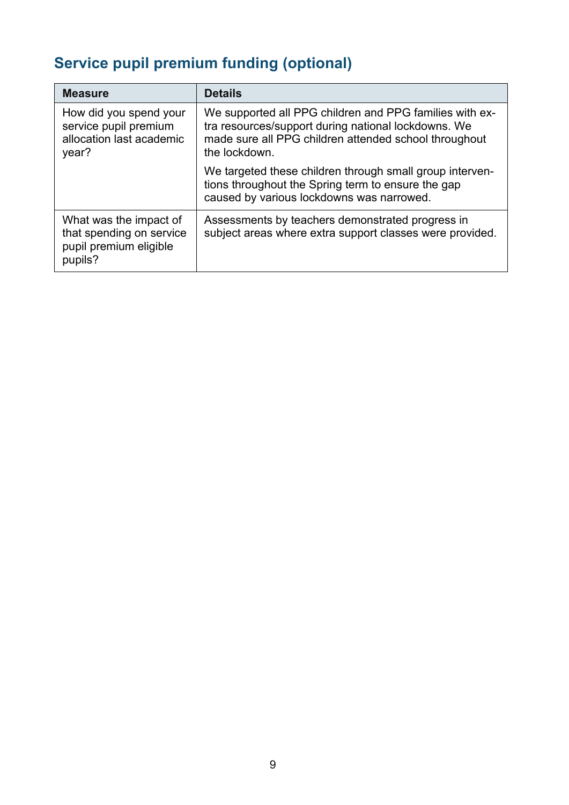# **Service pupil premium funding (optional)**

| <b>Measure</b>                                                                          | <b>Details</b>                                                                                                                                                                           |
|-----------------------------------------------------------------------------------------|------------------------------------------------------------------------------------------------------------------------------------------------------------------------------------------|
| How did you spend your<br>service pupil premium<br>allocation last academic<br>year?    | We supported all PPG children and PPG families with ex-<br>tra resources/support during national lockdowns. We<br>made sure all PPG children attended school throughout<br>the lockdown. |
|                                                                                         | We targeted these children through small group interven-<br>tions throughout the Spring term to ensure the gap<br>caused by various lockdowns was narrowed.                              |
| What was the impact of<br>that spending on service<br>pupil premium eligible<br>pupils? | Assessments by teachers demonstrated progress in<br>subject areas where extra support classes were provided.                                                                             |